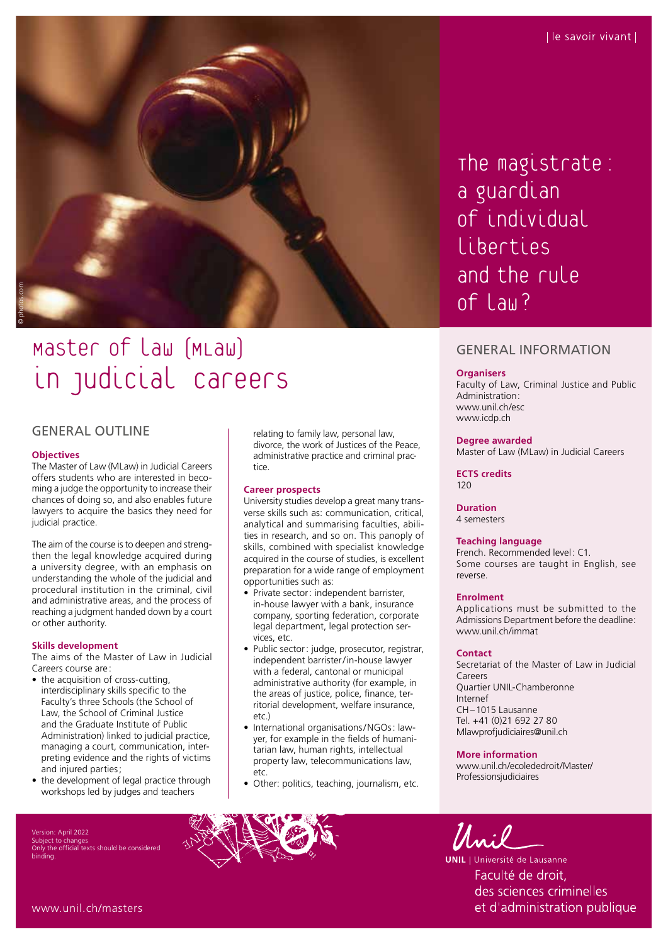

# Master of law (MLaw) in judicial careers

### GENERAL OUTLINE

### **Objectives**

The Master of Law (MLaw) in Judicial Careers offers students who are interested in becoming a judge the opportunity to increase their chances of doing so, and also enables future lawyers to acquire the basics they need for judicial practice.

The aim of the course is to deepen and strengthen the legal knowledge acquired during a university degree, with an emphasis on understanding the whole of the judicial and procedural institution in the criminal, civil and administrative areas, and the process of reaching a judgment handed down by a court or other authority.

### **Skills development**

The aims of the Master of Law in Judicial Careers course are:

- the acquisition of cross-cutting, interdisciplinary skills specific to the Faculty's three Schools (the School of Law, the School of Criminal Justice and the Graduate Institute of Public Administration) linked to judicial practice, managing a court, communication, interpreting evidence and the rights of victims and injured parties;
- the development of legal practice through workshops led by judges and teachers

Version: April 2022 Subject to change the official texts should be considered binding.

relating to family law, personal law, divorce, the work of Justices of the Peace, administrative practice and criminal practice.

### **Career prospects**

University studies develop a great many transverse skills such as: communication, critical, analytical and summarising faculties, abilities in research, and so on. This panoply of skills, combined with specialist knowledge acquired in the course of studies, is excellent preparation for a wide range of employment opportunities such as:

- Private sector: independent barrister, in-house lawyer with a bank, insurance company, sporting federation, corporate legal department, legal protection services, etc.
- Public sector: judge, prosecutor, registrar, independent barrister/in-house lawyer with a federal, cantonal or municipal administrative authority (for example, in the areas of justice, police, finance, territorial development, welfare insurance, etc.)
- International organisations/NGOs: lawyer, for example in the fields of humanitarian law, human rights, intellectual property law, telecommunications law, etc.
- Other: politics, teaching, journalism, etc.

The magistrate: a guardian of individual liberties and the rule of Law?

### GENERAL INFORMATION

### **Organisers**

Faculty of Law, Criminal Justice and Public Administration : [www.unil.ch/esc](http://www.unil.ch/esc) [www.icdp.ch](http://www.icdp.ch)

### **Degree awarded**

Master of Law (MLaw) in Judicial Careers

**ECTS credits** 120

### **Duration**

4 semesters

### **Teaching language**

French. Recommended level: C1. Some courses are taught in English, see reverse.

### **Enrolment**

Applications must be submitted to the Admissions Department before the deadline: [www.unil.ch/immat](http://www.unil.ch/immat)

### **Contact**

Secretariat of the Master of Law in Judicial Careers Quartier UNIL-Chamberonne Internef CH–1015 Lausanne Tel. +41 (0)21 692 27 80 [Mlawprofjudiciaires@unil.ch](mailto:Mlawprofjudiciaires@unil.ch)

### **More information**

[www.unil.ch/ecolededroit/Master/](http://www.unil.ch/ecolededroit/Master/Professionsjudiciaires) [Professionsjudiciaires](http://www.unil.ch/ecolededroit/Master/Professionsjudiciaires)



**UNIL** | Université de Lausanne Faculté de droit, des sciences criminelles et d'administration publique